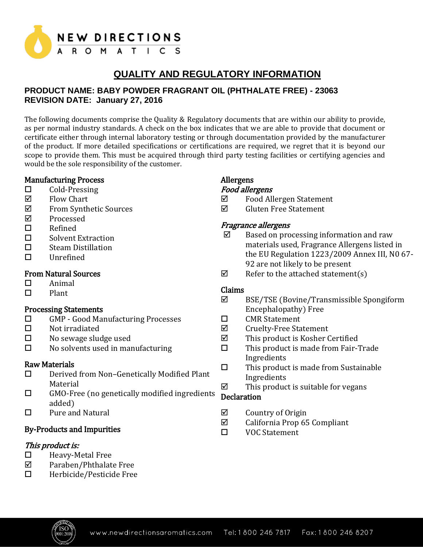

# **QUALITY AND REGULATORY INFORMATION**

## **PRODUCT NAME: BABY POWDER FRAGRANT OIL (PHTHALATE FREE) - 23063 REVISION DATE: January 27, 2016**

The following documents comprise the Quality & Regulatory documents that are within our ability to provide, as per normal industry standards. A check on the box indicates that we are able to provide that document or certificate either through internal laboratory testing or through documentation provided by the manufacturer of the product. If more detailed specifications or certifications are required, we regret that it is beyond our scope to provide them. This must be acquired through third party testing facilities or certifying agencies and would be the sole responsibility of the customer.

## Manufacturing Process

- $\Box$  Cold-Pressing
- $\nabla$  Flow Chart
- From Synthetic Sources
- $⊓$  Processed
- □ Refined
- □ Solvent Extraction
- □ Steam Distillation
- Unrefined

## From Natural Sources

- $\Box$  Animal
- $\Pi$  Plant

## Processing Statements

- GMP Good Manufacturing Processes
- $\square$  Not irradiated
- $\square$  No sewage sludge used
- $\square$  No solvents used in manufacturing

## Raw Materials

- Derived from Non–Genetically Modified Plant Material
- □ GMO-Free (no genetically modified ingredients added)
- $\square$  Pure and Natural

## By-Products and Impurities

## This product is:

- $\Box$  Heavy-Metal Free
- $\boxtimes$  Paraben/Phthalate Free
- $\Box$  Herbicide/Pesticide Free

# Allergens

## Food allergens

- Food Allergen Statement
- $\boxtimes$  Gluten Free Statement

## Fragrance allergens

- $\boxtimes$  Based on processing information and raw materials used, Fragrance Allergens listed in the EU Regulation 1223/2009 Annex III, N0 67- 92 are not likely to be present
- $\boxtimes$  Refer to the attached statement(s)

## Claims

- BSE/TSE (Bovine/Transmissible Spongiform Encephalopathy) Free
- □ CMR Statement
- $\boxtimes$  Cruelty-Free Statement
- $\boxtimes$  This product is Kosher Certified
- $\square$  This product is made from Fair-Trade Ingredients
- $\square$  This product is made from Sustainable Ingredients
- $\boxtimes$  This product is suitable for vegans

## **Declaration**

- $\nabla$  Country of Origin<br>  $\nabla$  California Prop 65
- California Prop 65 Compliant
- VOC Statement

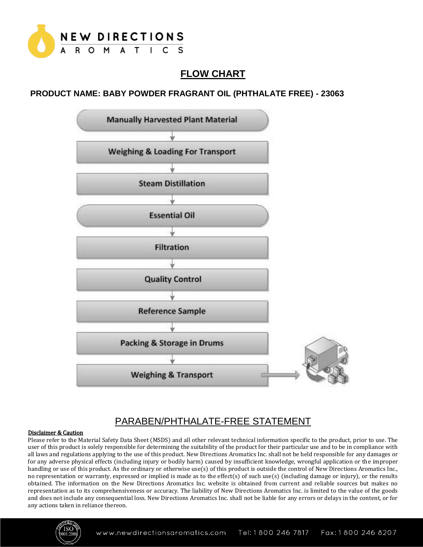

# **FLOW CHART**

## **PRODUCT NAME: BABY POWDER FRAGRANT OIL (PHTHALATE FREE) - 23063**



# PARABEN/PHTHALATE-FREE STATEMENT

#### Disclaimer & Caution

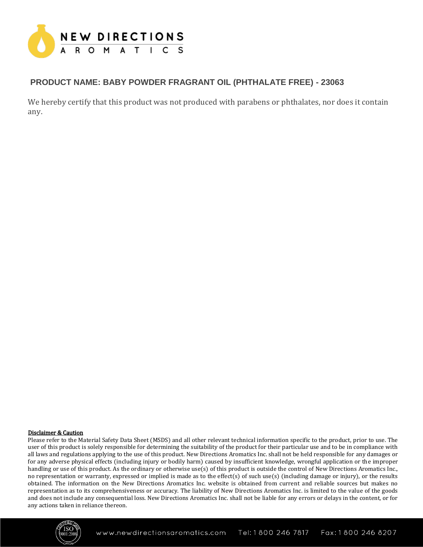

## **PRODUCT NAME: BABY POWDER FRAGRANT OIL (PHTHALATE FREE) - 23063**

We hereby certify that this product was not produced with parabens or phthalates, nor does it contain any.

#### Disclaimer & Caution

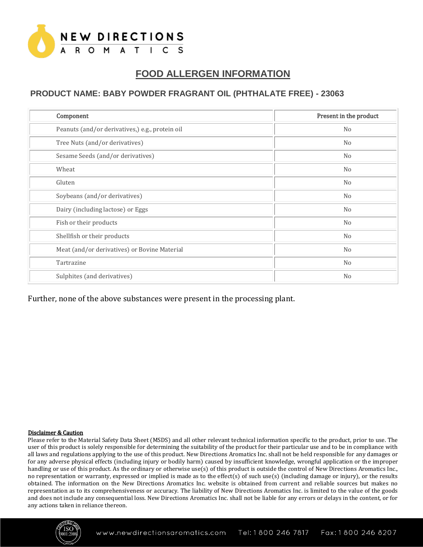

# **FOOD ALLERGEN INFORMATION**

## **PRODUCT NAME: BABY POWDER FRAGRANT OIL (PHTHALATE FREE) - 23063**

| Component                                       | Present in the product |
|-------------------------------------------------|------------------------|
| Peanuts (and/or derivatives,) e.g., protein oil | No                     |
| Tree Nuts (and/or derivatives)                  | N <sub>0</sub>         |
| Sesame Seeds (and/or derivatives)               | N <sub>0</sub>         |
| Wheat                                           | N <sub>0</sub>         |
| Gluten                                          | N <sub>0</sub>         |
| Soybeans (and/or derivatives)                   | No                     |
| Dairy (including lactose) or Eggs               | N <sub>0</sub>         |
| Fish or their products                          | N <sub>0</sub>         |
| Shellfish or their products                     | No                     |
| Meat (and/or derivatives) or Bovine Material    | No                     |
| Tartrazine                                      | N <sub>0</sub>         |
| Sulphites (and derivatives)                     | N <sub>o</sub>         |

Further, none of the above substances were present in the processing plant.

#### Disclaimer & Caution

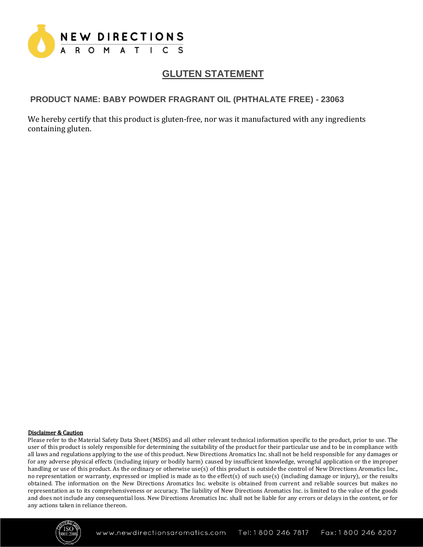

# **GLUTEN STATEMENT**

## **PRODUCT NAME: BABY POWDER FRAGRANT OIL (PHTHALATE FREE) - 23063**

We hereby certify that this product is gluten-free, nor was it manufactured with any ingredients containing gluten.

#### Disclaimer & Caution

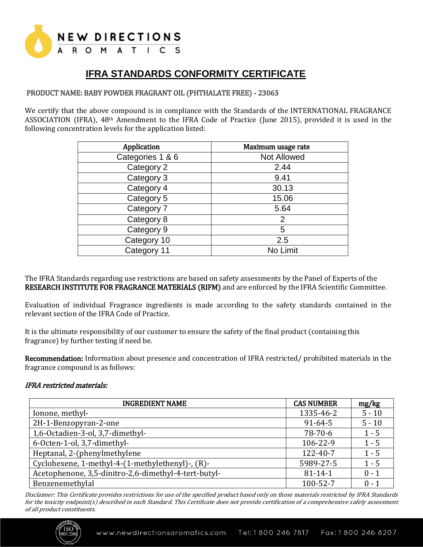

# **IFRA STANDARDS CONFORMITY CERTIFICATE**

### PRODUCT NAME: BABY POWDER FRAGRANT OIL (PHTHALATE FREE) - 23063

We certify that the above compound is in compliance with the Standards of the INTERNATIONAL FRAGRANCE ASSOCIATION (IFRA), 48th Amendment to the IFRA Code of Practice (June 2015), provided it is used in the following concentration levels for the application listed:

| Application      | Maximum usage rate |
|------------------|--------------------|
| Categories 1 & 6 | Not Allowed        |
| Category 2       | 2.44               |
| Category 3       | 9.41               |
| Category 4       | 30.13              |
| Category 5       | 15.06              |
| Category 7       | 5.64               |
| Category 8       | $\overline{2}$     |
| Category 9       | 5                  |
| Category 10      | 2.5                |
| Category 11      | No Limit           |

The IFRA Standards regarding use restrictions are based on safety assessments by the Panel of Experts of the RESEARCH INSTITUTE FOR FRAGRANCE MATERIALS (RIFM) and are enforced by the IFRA Scientific Committee.

Evaluation of individual Fragrance ingredients is made according to the safety standards contained in the relevant section of the IFRA Code of Practice.

It is the ultimate responsibility of our customer to ensure the safety of the final product (containing this fragrance) by further testing if need be.

Recommendation: Information about presence and concentration of IFRA restricted/ prohibited materials in the fragrance compound is as follows:

#### IFRA restricted materials:

| <b>INGREDIENT NAME</b>                               | <b>CAS NUMBER</b> | mg/kg    |
|------------------------------------------------------|-------------------|----------|
| Ionone, methyl-                                      | 1335-46-2         | $5 - 10$ |
| 2H-1-Benzopyran-2-one                                | $91 - 64 - 5$     | $5 - 10$ |
| 1,6-Octadien-3-ol, 3,7-dimethyl-                     | $78-70-6$         | $1 - 5$  |
| 6-Octen-1-ol, 3,7-dimethyl-                          | 106-22-9          | $1 - 5$  |
| Heptanal, 2-(phenylmethylene                         | 122-40-7          | $1 - 5$  |
| Cyclohexene, 1-methyl-4-(1-methylethenyl)-, (R)-     | 5989-27-5         | $1 - 5$  |
| Acetophenone, 3,5-dinitro-2,6-dimethyl-4-tert-butyl- | $81 - 14 - 1$     | $0 - 1$  |
| Benzenemethylal                                      | 100-52-7          | $0 - 1$  |

Disclaimer: This Certificate provides restrictions for use of the specified product based only on those materials restricted by IFRA Standards for the toxicity endpoint(s) described in each Standard. This Certificate does not provide certification of a comprehensive safety assessment of all product constituents.

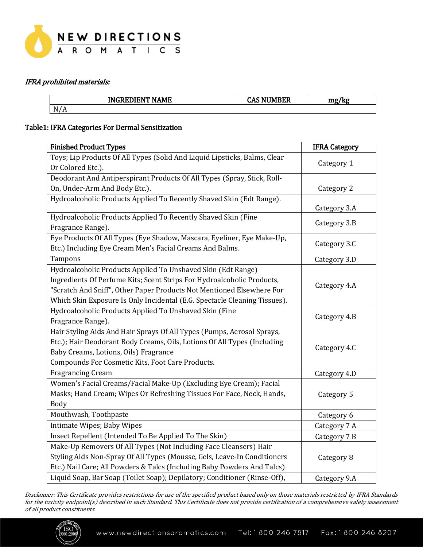

## IFRA prohibited materials:

|                          | <b>FRIENER MALLE</b><br>------<br>ıN٥<br>ιMΕ<br>г.<br>. | <b>ATTEN FRAME</b><br>c<br>л.<br>w<br>$\mathbf{r}$ | mg<br>1.75 |
|--------------------------|---------------------------------------------------------|----------------------------------------------------|------------|
| N/<br>$\Lambda$<br>11/11 |                                                         |                                                    |            |

## Table1: IFRA Categories For Dermal Sensitization

| <b>Finished Product Types</b>                                                                                                                                                                                                                                                                | <b>IFRA Category</b> |
|----------------------------------------------------------------------------------------------------------------------------------------------------------------------------------------------------------------------------------------------------------------------------------------------|----------------------|
| Toys; Lip Products Of All Types (Solid And Liquid Lipsticks, Balms, Clear<br>Or Colored Etc.).                                                                                                                                                                                               | Category 1           |
| Deodorant And Antiperspirant Products Of All Types (Spray, Stick, Roll-                                                                                                                                                                                                                      |                      |
| On, Under-Arm And Body Etc.).                                                                                                                                                                                                                                                                | Category 2           |
| Hydroalcoholic Products Applied To Recently Shaved Skin (Edt Range).                                                                                                                                                                                                                         | Category 3.A         |
| Hydroalcoholic Products Applied To Recently Shaved Skin (Fine<br>Fragrance Range).                                                                                                                                                                                                           | Category 3.B         |
| Eye Products Of All Types (Eye Shadow, Mascara, Eyeliner, Eye Make-Up,<br>Etc.) Including Eye Cream Men's Facial Creams And Balms.                                                                                                                                                           | Category 3.C         |
| Tampons                                                                                                                                                                                                                                                                                      | Category 3.D         |
| Hydroalcoholic Products Applied To Unshaved Skin (Edt Range)<br>Ingredients Of Perfume Kits; Scent Strips For Hydroalcoholic Products,<br>"Scratch And Sniff", Other Paper Products Not Mentioned Elsewhere For<br>Which Skin Exposure Is Only Incidental (E.G. Spectacle Cleaning Tissues). | Category 4.A         |
| Hydroalcoholic Products Applied To Unshaved Skin (Fine<br>Fragrance Range).                                                                                                                                                                                                                  | Category 4.B         |
| Hair Styling Aids And Hair Sprays Of All Types (Pumps, Aerosol Sprays,<br>Etc.); Hair Deodorant Body Creams, Oils, Lotions Of All Types (Including<br>Baby Creams, Lotions, Oils) Fragrance<br>Compounds For Cosmetic Kits, Foot Care Products.                                              | Category 4.C         |
| <b>Fragrancing Cream</b>                                                                                                                                                                                                                                                                     | Category 4.D         |
| Women's Facial Creams/Facial Make-Up (Excluding Eye Cream); Facial<br>Masks; Hand Cream; Wipes Or Refreshing Tissues For Face, Neck, Hands,<br><b>Body</b>                                                                                                                                   | Category 5           |
| Mouthwash, Toothpaste                                                                                                                                                                                                                                                                        | Category 6           |
| Intimate Wipes; Baby Wipes                                                                                                                                                                                                                                                                   | Category 7 A         |
| Insect Repellent (Intended To Be Applied To The Skin)                                                                                                                                                                                                                                        | Category 7 B         |
| Make-Up Removers Of All Types (Not Including Face Cleansers) Hair<br>Styling Aids Non-Spray Of All Types (Mousse, Gels, Leave-In Conditioners<br>Etc.) Nail Care; All Powders & Talcs (Including Baby Powders And Talcs)                                                                     | Category 8           |
| Liquid Soap, Bar Soap (Toilet Soap); Depilatory; Conditioner (Rinse-Off),                                                                                                                                                                                                                    | Category 9.A         |

Disclaimer: This Certificate provides restrictions for use of the specified product based only on those materials restricted by IFRA Standards for the toxicity endpoint(s) described in each Standard. This Certificate does not provide certification of a comprehensive safety assessment of all product constituents.

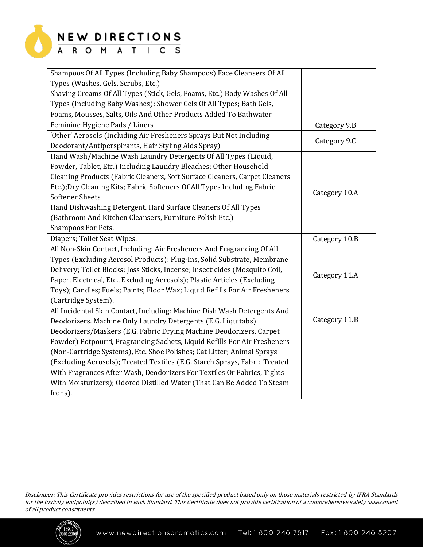

# NEW DIRECTIONS<br>A R O M A T | C S

| Shampoos Of All Types (Including Baby Shampoos) Face Cleansers Of All       |               |
|-----------------------------------------------------------------------------|---------------|
| Types (Washes, Gels, Scrubs, Etc.)                                          |               |
| Shaving Creams Of All Types (Stick, Gels, Foams, Etc.) Body Washes Of All   |               |
| Types (Including Baby Washes); Shower Gels Of All Types; Bath Gels,         |               |
| Foams, Mousses, Salts, Oils And Other Products Added To Bathwater           |               |
| Feminine Hygiene Pads / Liners                                              | Category 9.B  |
| 'Other' Aerosols (Including Air Fresheners Sprays But Not Including         |               |
| Deodorant/Antiperspirants, Hair Styling Aids Spray)                         | Category 9.C  |
| Hand Wash/Machine Wash Laundry Detergents Of All Types (Liquid,             |               |
| Powder, Tablet, Etc.) Including Laundry Bleaches; Other Household           |               |
| Cleaning Products (Fabric Cleaners, Soft Surface Cleaners, Carpet Cleaners  |               |
| Etc.);Dry Cleaning Kits; Fabric Softeners Of All Types Including Fabric     |               |
| <b>Softener Sheets</b>                                                      | Category 10.A |
| Hand Dishwashing Detergent. Hard Surface Cleaners Of All Types              |               |
| (Bathroom And Kitchen Cleansers, Furniture Polish Etc.)                     |               |
| Shampoos For Pets.                                                          |               |
| Diapers; Toilet Seat Wipes.                                                 | Category 10.B |
| All Non-Skin Contact, Including: Air Fresheners And Fragrancing Of All      |               |
| Types (Excluding Aerosol Products): Plug-Ins, Solid Substrate, Membrane     |               |
| Delivery; Toilet Blocks; Joss Sticks, Incense; Insecticides (Mosquito Coil, |               |
| Paper, Electrical, Etc., Excluding Aerosols); Plastic Articles (Excluding   | Category 11.A |
| Toys); Candles; Fuels; Paints; Floor Wax; Liquid Refills For Air Fresheners |               |
| (Cartridge System).                                                         |               |
| All Incidental Skin Contact, Including: Machine Dish Wash Detergents And    |               |
| Deodorizers. Machine Only Laundry Detergents (E.G. Liquitabs)               | Category 11.B |
| Deodorizers/Maskers (E.G. Fabric Drying Machine Deodorizers, Carpet         |               |
| Powder) Potpourri, Fragrancing Sachets, Liquid Refills For Air Fresheners   |               |
| (Non-Cartridge Systems), Etc. Shoe Polishes; Cat Litter; Animal Sprays      |               |
| (Excluding Aerosols); Treated Textiles (E.G. Starch Sprays, Fabric Treated  |               |
| With Fragrances After Wash, Deodorizers For Textiles Or Fabrics, Tights     |               |
| With Moisturizers); Odored Distilled Water (That Can Be Added To Steam      |               |
| Irons).                                                                     |               |

Disclaimer: This Certificate provides restrictions for use of the specified product based only on those materials restricted by IFRA Standards for the toxicity endpoint(s) described in each Standard. This Certificate does not provide certification of a comprehensive safety assessment of all product constituents.

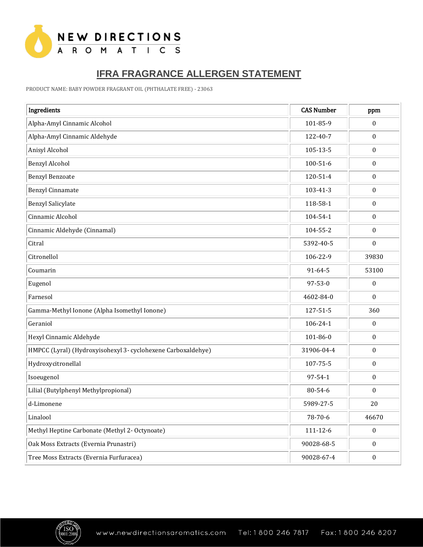

# **IFRA FRAGRANCE ALLERGEN STATEMENT**

PRODUCT NAME: BABY POWDER FRAGRANT OIL (PHTHALATE FREE) - <sup>23063</sup>

| Ingredients                                                  | <b>CAS Number</b> | ppm              |
|--------------------------------------------------------------|-------------------|------------------|
| Alpha-Amyl Cinnamic Alcohol                                  | 101-85-9          | $\boldsymbol{0}$ |
| Alpha-Amyl Cinnamic Aldehyde                                 | 122-40-7          | $\pmb{0}$        |
| Anisyl Alcohol                                               | 105-13-5          | $\pmb{0}$        |
| <b>Benzyl Alcohol</b>                                        | $100 - 51 - 6$    | $\boldsymbol{0}$ |
| <b>Benzyl Benzoate</b>                                       | 120-51-4          | $\boldsymbol{0}$ |
| Benzyl Cinnamate                                             | 103-41-3          | $\boldsymbol{0}$ |
| <b>Benzyl Salicylate</b>                                     | 118-58-1          | $\pmb{0}$        |
| Cinnamic Alcohol                                             | 104-54-1          | $\boldsymbol{0}$ |
| Cinnamic Aldehyde (Cinnamal)                                 | 104-55-2          | $\boldsymbol{0}$ |
| Citral                                                       | 5392-40-5         | $\boldsymbol{0}$ |
| Citronellol                                                  | 106-22-9          | 39830            |
| Coumarin                                                     | 91-64-5           | 53100            |
| Eugenol                                                      | 97-53-0           | $\boldsymbol{0}$ |
| Farnesol                                                     | 4602-84-0         | $\mathbf{0}$     |
| Gamma-Methyl Ionone (Alpha Isomethyl Ionone)                 | 127-51-5          | 360              |
| Geraniol                                                     | 106-24-1          | $\bf{0}$         |
| Hexyl Cinnamic Aldehyde                                      | 101-86-0          | $\boldsymbol{0}$ |
| HMPCC (Lyral) (Hydroxyisohexyl 3- cyclohexene Carboxaldehye) | 31906-04-4        | $\boldsymbol{0}$ |
| Hydroxycitronellal                                           | 107-75-5          | $\pmb{0}$        |
| Isoeugenol                                                   | 97-54-1           | $\pmb{0}$        |
| Lilial (Butylphenyl Methylpropional)                         | 80-54-6           | $\boldsymbol{0}$ |
| d-Limonene                                                   | 5989-27-5         | 20               |
| Linalool                                                     | 78-70-6           | 46670            |
| Methyl Heptine Carbonate (Methyl 2- Octynoate)               | $111 - 12 - 6$    | $\boldsymbol{0}$ |
| Oak Moss Extracts (Evernia Prunastri)                        | 90028-68-5        | $\boldsymbol{0}$ |
| Tree Moss Extracts (Evernia Furfuracea)                      | 90028-67-4        | $\pmb{0}$        |

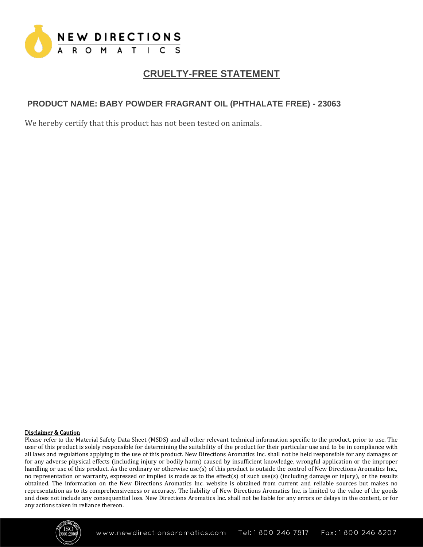

# **CRUELTY-FREE STATEMENT**

## **PRODUCT NAME: BABY POWDER FRAGRANT OIL (PHTHALATE FREE) - 23063**

We hereby certify that this product has not been tested on animals.

#### Disclaimer & Caution

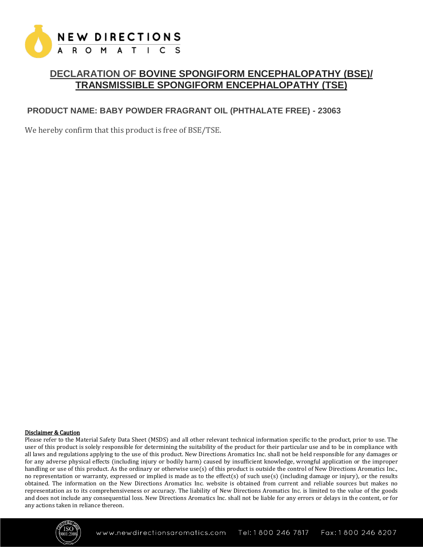

## **DECLARATION OF BOVINE SPONGIFORM ENCEPHALOPATHY (BSE)/ TRANSMISSIBLE SPONGIFORM ENCEPHALOPATHY (TSE)**

## **PRODUCT NAME: BABY POWDER FRAGRANT OIL (PHTHALATE FREE) - 23063**

We hereby confirm that this product is free of BSE/TSE.

#### Disclaimer & Caution

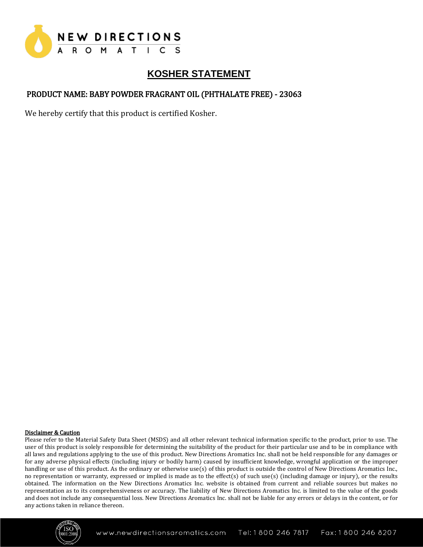

# **KOSHER STATEMENT**

## PRODUCT NAME: BABY POWDER FRAGRANT OIL (PHTHALATE FREE) - 23063

We hereby certify that this product is certified Kosher.

#### Disclaimer & Caution

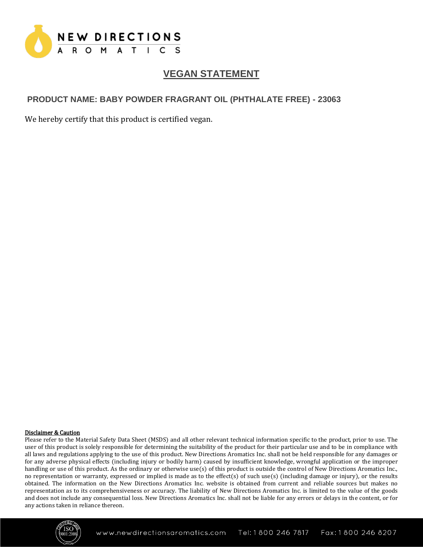

# **VEGAN STATEMENT**

## **PRODUCT NAME: BABY POWDER FRAGRANT OIL (PHTHALATE FREE) - 23063**

We hereby certify that this product is certified vegan.

#### Disclaimer & Caution

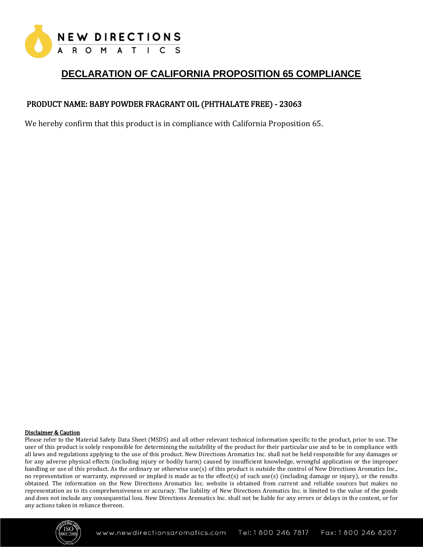

# **DECLARATION OF CALIFORNIA PROPOSITION 65 COMPLIANCE**

## PRODUCT NAME: BABY POWDER FRAGRANT OIL (PHTHALATE FREE) - 23063

We hereby confirm that this product is in compliance with California Proposition 65.

#### Disclaimer & Caution